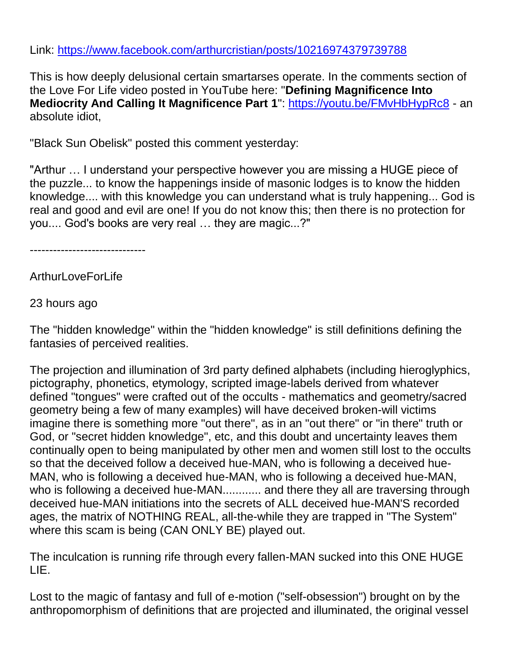Link:<https://www.facebook.com/arthurcristian/posts/10216974379739788>

This is how deeply delusional certain smartarses operate. In the comments section of the Love For Life video posted in YouTube here: "**Defining Magnificence Into Mediocrity And Calling It Magnificence Part 1**":<https://youtu.be/FMvHbHypRc8> - an absolute idiot,

"Black Sun Obelisk" posted this comment yesterday:

"Arthur … I understand your perspective however you are missing a HUGE piece of the puzzle... to know the happenings inside of masonic lodges is to know the hidden knowledge.... with this knowledge you can understand what is truly happening... God is real and good and evil are one! If you do not know this; then there is no protection for you.... God's books are very real … they are magic...?"

------------------------------

**ArthurLoveForLife** 

23 hours ago

The "hidden knowledge" within the "hidden knowledge" is still definitions defining the fantasies of perceived realities.

The projection and illumination of 3rd party defined alphabets (including hieroglyphics, pictography, phonetics, etymology, scripted image-labels derived from whatever defined "tongues" were crafted out of the occults - mathematics and geometry/sacred geometry being a few of many examples) will have deceived broken-will victims imagine there is something more "out there", as in an "out there" or "in there" truth or God, or "secret hidden knowledge", etc, and this doubt and uncertainty leaves them continually open to being manipulated by other men and women still lost to the occults so that the deceived follow a deceived hue-MAN, who is following a deceived hue-MAN, who is following a deceived hue-MAN, who is following a deceived hue-MAN, who is following a deceived hue-MAN............. and there they all are traversing through deceived hue-MAN initiations into the secrets of ALL deceived hue-MAN'S recorded ages, the matrix of NOTHING REAL, all-the-while they are trapped in "The System" where this scam is being (CAN ONLY BE) played out.

The inculcation is running rife through every fallen-MAN sucked into this ONE HUGE LIE.

Lost to the magic of fantasy and full of e-motion ("self-obsession") brought on by the anthropomorphism of definitions that are projected and illuminated, the original vessel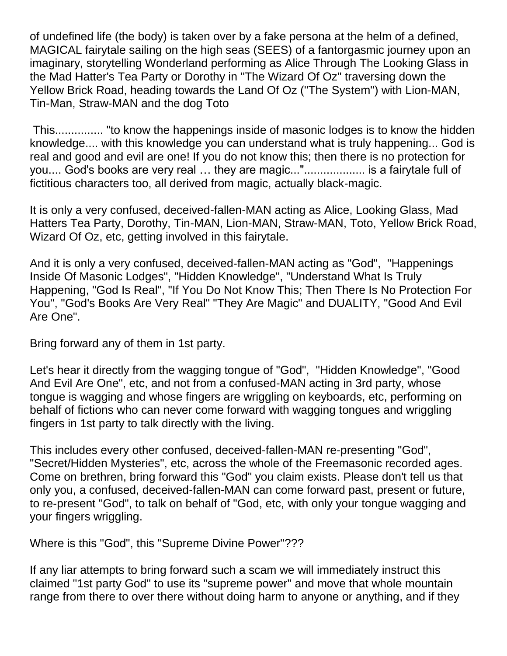of undefined life (the body) is taken over by a fake persona at the helm of a defined, MAGICAL fairytale sailing on the high seas (SEES) of a fantorgasmic journey upon an imaginary, storytelling Wonderland performing as Alice Through The Looking Glass in the Mad Hatter's Tea Party or Dorothy in "The Wizard Of Oz" traversing down the Yellow Brick Road, heading towards the Land Of Oz ("The System") with Lion-MAN, Tin-Man, Straw-MAN and the dog Toto

This............... "to know the happenings inside of masonic lodges is to know the hidden knowledge.... with this knowledge you can understand what is truly happening... God is real and good and evil are one! If you do not know this; then there is no protection for you.... God's books are very real … they are magic..."................... is a fairytale full of fictitious characters too, all derived from magic, actually black-magic.

It is only a very confused, deceived-fallen-MAN acting as Alice, Looking Glass, Mad Hatters Tea Party, Dorothy, Tin-MAN, Lion-MAN, Straw-MAN, Toto, Yellow Brick Road, Wizard Of Oz, etc, getting involved in this fairytale.

And it is only a very confused, deceived-fallen-MAN acting as "God", "Happenings Inside Of Masonic Lodges", "Hidden Knowledge", "Understand What Is Truly Happening, "God Is Real", "If You Do Not Know This; Then There Is No Protection For You", "God's Books Are Very Real" "They Are Magic" and DUALITY, "Good And Evil Are One".

Bring forward any of them in 1st party.

Let's hear it directly from the wagging tongue of "God", "Hidden Knowledge", "Good And Evil Are One", etc, and not from a confused-MAN acting in 3rd party, whose tongue is wagging and whose fingers are wriggling on keyboards, etc, performing on behalf of fictions who can never come forward with wagging tongues and wriggling fingers in 1st party to talk directly with the living.

This includes every other confused, deceived-fallen-MAN re-presenting "God", "Secret/Hidden Mysteries", etc, across the whole of the Freemasonic recorded ages. Come on brethren, bring forward this "God" you claim exists. Please don't tell us that only you, a confused, deceived-fallen-MAN can come forward past, present or future, to re-present "God", to talk on behalf of "God, etc, with only your tongue wagging and your fingers wriggling.

Where is this "God", this "Supreme Divine Power"???

If any liar attempts to bring forward such a scam we will immediately instruct this claimed "1st party God" to use its "supreme power" and move that whole mountain range from there to over there without doing harm to anyone or anything, and if they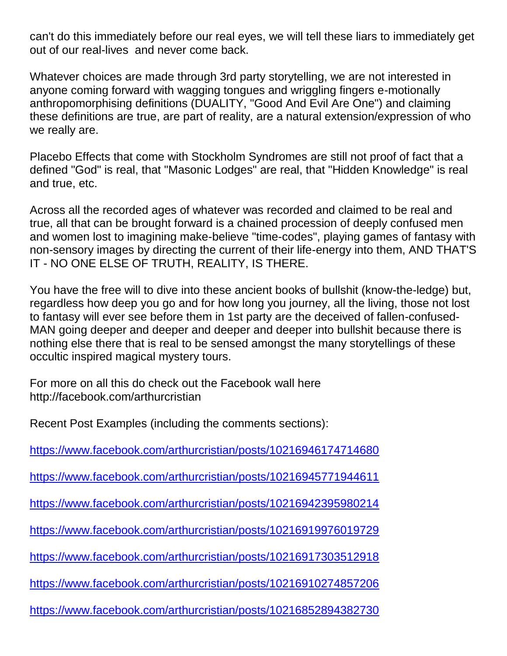can't do this immediately before our real eyes, we will tell these liars to immediately get out of our real-lives and never come back.

Whatever choices are made through 3rd party storytelling, we are not interested in anyone coming forward with wagging tongues and wriggling fingers e-motionally anthropomorphising definitions (DUALITY, "Good And Evil Are One") and claiming these definitions are true, are part of reality, are a natural extension/expression of who we really are.

Placebo Effects that come with Stockholm Syndromes are still not proof of fact that a defined "God" is real, that "Masonic Lodges" are real, that "Hidden Knowledge" is real and true, etc.

Across all the recorded ages of whatever was recorded and claimed to be real and true, all that can be brought forward is a chained procession of deeply confused men and women lost to imagining make-believe "time-codes", playing games of fantasy with non-sensory images by directing the current of their life-energy into them, AND THAT'S IT - NO ONE ELSE OF TRUTH, REALITY, IS THERE.

You have the free will to dive into these ancient books of bullshit (know-the-ledge) but, regardless how deep you go and for how long you journey, all the living, those not lost to fantasy will ever see before them in 1st party are the deceived of fallen-confused-MAN going deeper and deeper and deeper and deeper into bullshit because there is nothing else there that is real to be sensed amongst the many storytellings of these occultic inspired magical mystery tours.

For more on all this do check out the Facebook wall here http://facebook.com/arthurcristian

Recent Post Examples (including the comments sections):

<https://www.facebook.com/arthurcristian/posts/10216946174714680>

<https://www.facebook.com/arthurcristian/posts/10216945771944611>

<https://www.facebook.com/arthurcristian/posts/10216942395980214>

<https://www.facebook.com/arthurcristian/posts/10216919976019729>

<https://www.facebook.com/arthurcristian/posts/10216917303512918>

<https://www.facebook.com/arthurcristian/posts/10216910274857206>

<https://www.facebook.com/arthurcristian/posts/10216852894382730>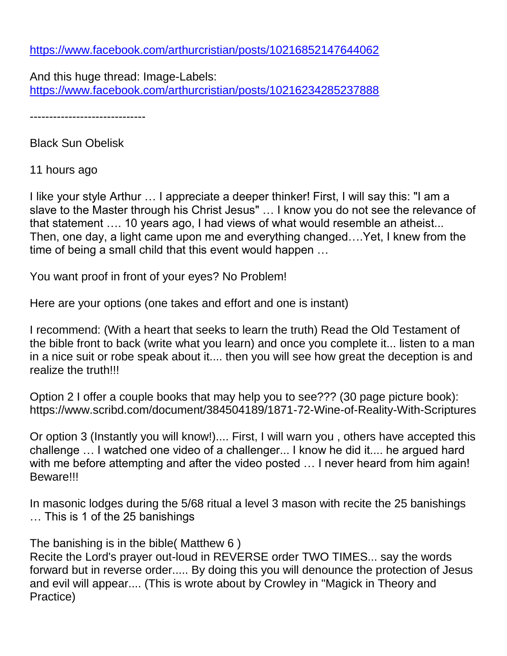<https://www.facebook.com/arthurcristian/posts/10216852147644062>

And this huge thread: Image-Labels: <https://www.facebook.com/arthurcristian/posts/10216234285237888>

------------------------------

Black Sun Obelisk

11 hours ago

I like your style Arthur … I appreciate a deeper thinker! First, I will say this: "I am a slave to the Master through his Christ Jesus" … I know you do not see the relevance of that statement …. 10 years ago, I had views of what would resemble an atheist... Then, one day, a light came upon me and everything changed….Yet, I knew from the time of being a small child that this event would happen …

You want proof in front of your eyes? No Problem!

Here are your options (one takes and effort and one is instant)

I recommend: (With a heart that seeks to learn the truth) Read the Old Testament of the bible front to back (write what you learn) and once you complete it... listen to a man in a nice suit or robe speak about it.... then you will see how great the deception is and realize the truth!!!

Option 2 I offer a couple books that may help you to see??? (30 page picture book): https://www.scribd.com/document/384504189/1871-72-Wine-of-Reality-With-Scriptures

Or option 3 (Instantly you will know!).... First, I will warn you , others have accepted this challenge … I watched one video of a challenger... I know he did it.... he argued hard with me before attempting and after the video posted ... I never heard from him again! Beware!!!

In masonic lodges during the 5/68 ritual a level 3 mason with recite the 25 banishings … This is 1 of the 25 banishings

The banishing is in the bible( Matthew 6 )

Recite the Lord's prayer out-loud in REVERSE order TWO TIMES... say the words forward but in reverse order..... By doing this you will denounce the protection of Jesus and evil will appear.... (This is wrote about by Crowley in "Magick in Theory and Practice)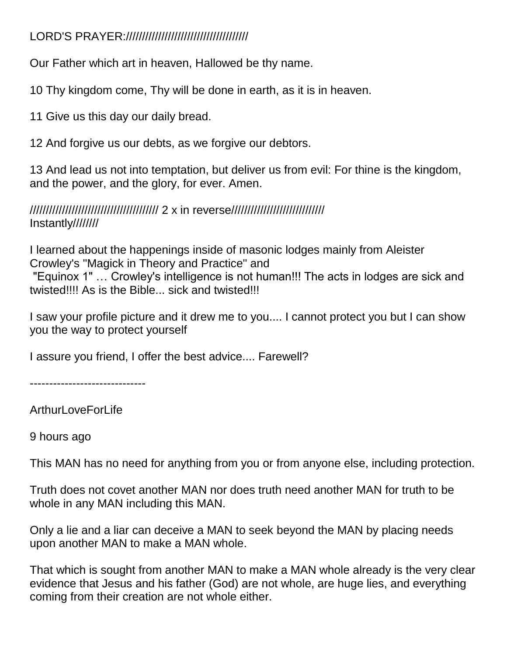## LORD'S PRAYER://////////////////////////////////////

Our Father which art in heaven, Hallowed be thy name.

10 Thy kingdom come, Thy will be done in earth, as it is in heaven.

11 Give us this day our daily bread.

12 And forgive us our debts, as we forgive our debtors.

13 And lead us not into temptation, but deliver us from evil: For thine is the kingdom, and the power, and the glory, for ever. Amen.

//////////////////////////////////////// 2 x in reverse///////////////////////////// Instantly////////

I learned about the happenings inside of masonic lodges mainly from Aleister Crowley's "Magick in Theory and Practice" and "Equinox 1" … Crowley's intelligence is not human!!! The acts in lodges are sick and twisted!!!! As is the Bible... sick and twisted!!!

I saw your profile picture and it drew me to you.... I cannot protect you but I can show you the way to protect yourself

I assure you friend, I offer the best advice.... Farewell?

------------------------------

ArthurLoveForLife

9 hours ago

This MAN has no need for anything from you or from anyone else, including protection.

Truth does not covet another MAN nor does truth need another MAN for truth to be whole in any MAN including this MAN.

Only a lie and a liar can deceive a MAN to seek beyond the MAN by placing needs upon another MAN to make a MAN whole.

That which is sought from another MAN to make a MAN whole already is the very clear evidence that Jesus and his father (God) are not whole, are huge lies, and everything coming from their creation are not whole either.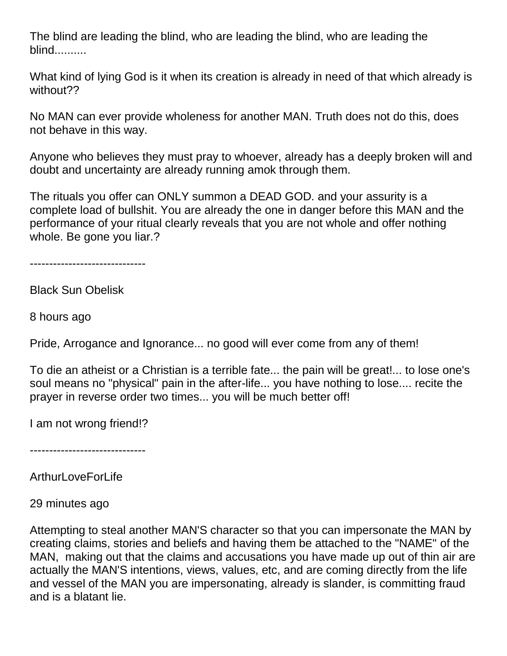The blind are leading the blind, who are leading the blind, who are leading the blind..........

What kind of lying God is it when its creation is already in need of that which already is without??

No MAN can ever provide wholeness for another MAN. Truth does not do this, does not behave in this way.

Anyone who believes they must pray to whoever, already has a deeply broken will and doubt and uncertainty are already running amok through them.

The rituals you offer can ONLY summon a DEAD GOD. and your assurity is a complete load of bullshit. You are already the one in danger before this MAN and the performance of your ritual clearly reveals that you are not whole and offer nothing whole. Be gone you liar.?

------------------------------

Black Sun Obelisk

8 hours ago

Pride, Arrogance and Ignorance... no good will ever come from any of them!

To die an atheist or a Christian is a terrible fate... the pain will be great!... to lose one's soul means no "physical" pain in the after-life... you have nothing to lose.... recite the prayer in reverse order two times... you will be much better off!

I am not wrong friend!?

------------------------------

**ArthurLoveForLife** 

29 minutes ago

Attempting to steal another MAN'S character so that you can impersonate the MAN by creating claims, stories and beliefs and having them be attached to the "NAME" of the MAN, making out that the claims and accusations you have made up out of thin air are actually the MAN'S intentions, views, values, etc, and are coming directly from the life and vessel of the MAN you are impersonating, already is slander, is committing fraud and is a blatant lie.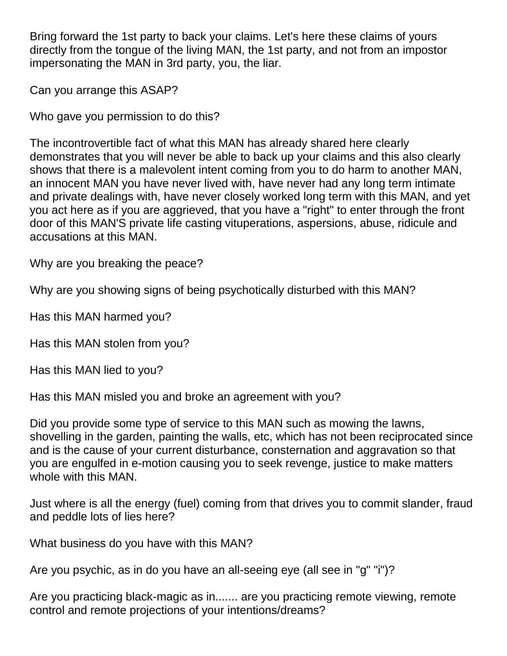Bring forward the 1st party to back your claims. Let's here these claims of yours directly from the tongue of the living MAN, the 1st party, and not from an impostor impersonating the MAN in 3rd party, you, the liar.

Can you arrange this ASAP?

Who gave you permission to do this?

The incontrovertible fact of what this MAN has already shared here clearly demonstrates that you will never be able to back up your claims and this also clearly shows that there is a malevolent intent coming from you to do harm to another MAN, an innocent MAN you have never lived with, have never had any long term intimate and private dealings with, have never closely worked long term with this MAN, and yet you act here as if you are aggrieved, that you have a "right" to enter through the front door of this MAN'S private life casting vituperations, aspersions, abuse, ridicule and accusations at this MAN.

Why are you breaking the peace?

Why are you showing signs of being psychotically disturbed with this MAN?

Has this MAN harmed you?

Has this MAN stolen from you?

Has this MAN lied to you?

Has this MAN misled you and broke an agreement with you?

Did you provide some type of service to this MAN such as mowing the lawns, shovelling in the garden, painting the walls, etc, which has not been reciprocated since and is the cause of your current disturbance, consternation and aggravation so that you are engulfed in e-motion causing you to seek revenge, justice to make matters whole with this MAN.

Just where is all the energy (fuel) coming from that drives you to commit slander, fraud and peddle lots of lies here?

What business do you have with this MAN?

Are you psychic, as in do you have an all-seeing eye (all see in "g" "i")?

Are you practicing black-magic as in....... are you practicing remote viewing, remote control and remote projections of your intentions/dreams?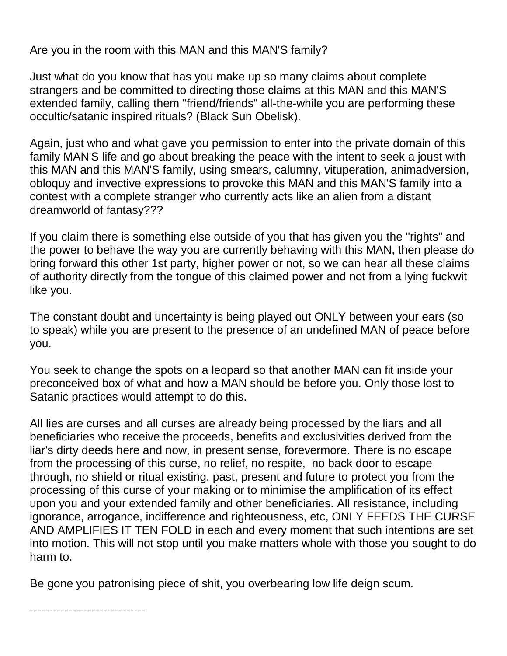Are you in the room with this MAN and this MAN'S family?

Just what do you know that has you make up so many claims about complete strangers and be committed to directing those claims at this MAN and this MAN'S extended family, calling them "friend/friends" all-the-while you are performing these occultic/satanic inspired rituals? (Black Sun Obelisk).

Again, just who and what gave you permission to enter into the private domain of this family MAN'S life and go about breaking the peace with the intent to seek a joust with this MAN and this MAN'S family, using smears, calumny, vituperation, animadversion, obloquy and invective expressions to provoke this MAN and this MAN'S family into a contest with a complete stranger who currently acts like an alien from a distant dreamworld of fantasy???

If you claim there is something else outside of you that has given you the "rights" and the power to behave the way you are currently behaving with this MAN, then please do bring forward this other 1st party, higher power or not, so we can hear all these claims of authority directly from the tongue of this claimed power and not from a lying fuckwit like you.

The constant doubt and uncertainty is being played out ONLY between your ears (so to speak) while you are present to the presence of an undefined MAN of peace before you.

You seek to change the spots on a leopard so that another MAN can fit inside your preconceived box of what and how a MAN should be before you. Only those lost to Satanic practices would attempt to do this.

All lies are curses and all curses are already being processed by the liars and all beneficiaries who receive the proceeds, benefits and exclusivities derived from the liar's dirty deeds here and now, in present sense, forevermore. There is no escape from the processing of this curse, no relief, no respite, no back door to escape through, no shield or ritual existing, past, present and future to protect you from the processing of this curse of your making or to minimise the amplification of its effect upon you and your extended family and other beneficiaries. All resistance, including ignorance, arrogance, indifference and righteousness, etc, ONLY FEEDS THE CURSE AND AMPLIFIES IT TEN FOLD in each and every moment that such intentions are set into motion. This will not stop until you make matters whole with those you sought to do harm to.

Be gone you patronising piece of shit, you overbearing low life deign scum.

------------------------------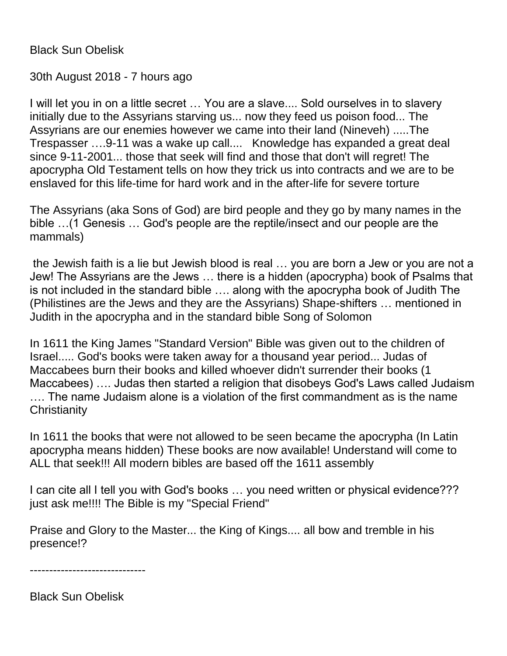Black Sun Obelisk

30th August 2018 - 7 hours ago

I will let you in on a little secret … You are a slave.... Sold ourselves in to slavery initially due to the Assyrians starving us... now they feed us poison food... The Assyrians are our enemies however we came into their land (Nineveh) .....The Trespasser ….9-11 was a wake up call.... Knowledge has expanded a great deal since 9-11-2001... those that seek will find and those that don't will regret! The apocrypha Old Testament tells on how they trick us into contracts and we are to be enslaved for this life-time for hard work and in the after-life for severe torture

The Assyrians (aka Sons of God) are bird people and they go by many names in the bible …(1 Genesis … God's people are the reptile/insect and our people are the mammals)

the Jewish faith is a lie but Jewish blood is real … you are born a Jew or you are not a Jew! The Assyrians are the Jews … there is a hidden (apocrypha) book of Psalms that is not included in the standard bible …. along with the apocrypha book of Judith The (Philistines are the Jews and they are the Assyrians) Shape-shifters … mentioned in Judith in the apocrypha and in the standard bible Song of Solomon

In 1611 the King James "Standard Version" Bible was given out to the children of Israel..... God's books were taken away for a thousand year period... Judas of Maccabees burn their books and killed whoever didn't surrender their books (1 Maccabees) …. Judas then started a religion that disobeys God's Laws called Judaism …. The name Judaism alone is a violation of the first commandment as is the name **Christianity** 

In 1611 the books that were not allowed to be seen became the apocrypha (In Latin apocrypha means hidden) These books are now available! Understand will come to ALL that seek!!! All modern bibles are based off the 1611 assembly

I can cite all I tell you with God's books … you need written or physical evidence??? just ask me!!!! The Bible is my "Special Friend"

Praise and Glory to the Master... the King of Kings.... all bow and tremble in his presence!?

------------------------------

Black Sun Obelisk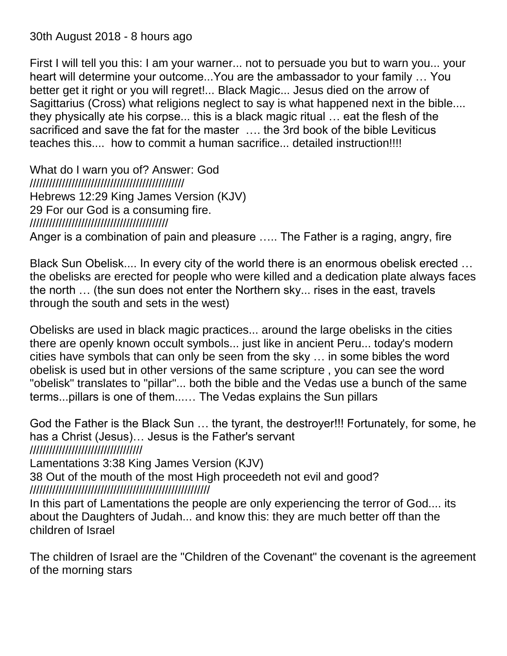## 30th August 2018 - 8 hours ago

First I will tell you this: I am your warner... not to persuade you but to warn you... your heart will determine your outcome...You are the ambassador to your family … You better get it right or you will regret!... Black Magic... Jesus died on the arrow of Sagittarius (Cross) what religions neglect to say is what happened next in the bible.... they physically ate his corpse... this is a black magic ritual … eat the flesh of the sacrificed and save the fat for the master …. the 3rd book of the bible Leviticus teaches this.... how to commit a human sacrifice... detailed instruction!!!!

What do I warn you of? Answer: God //////////////////////////////////////////////// Hebrews 12:29 King James Version (KJV) 29 For our God is a consuming fire. ///////////////////////////////////////////

Anger is a combination of pain and pleasure ….. The Father is a raging, angry, fire

Black Sun Obelisk.... In every city of the world there is an enormous obelisk erected … the obelisks are erected for people who were killed and a dedication plate always faces the north … (the sun does not enter the Northern sky... rises in the east, travels through the south and sets in the west)

Obelisks are used in black magic practices... around the large obelisks in the cities there are openly known occult symbols... just like in ancient Peru... today's modern cities have symbols that can only be seen from the sky … in some bibles the word obelisk is used but in other versions of the same scripture , you can see the word "obelisk" translates to "pillar"... both the bible and the Vedas use a bunch of the same terms...pillars is one of them...… The Vedas explains the Sun pillars

God the Father is the Black Sun … the tyrant, the destroyer!!! Fortunately, for some, he has a Christ (Jesus)… Jesus is the Father's servant ///////////////////////////////////

Lamentations 3:38 King James Version (KJV) 38 Out of the mouth of the most High proceedeth not evil and good? ////////////////////////////////////////////////////////

In this part of Lamentations the people are only experiencing the terror of God.... its about the Daughters of Judah... and know this: they are much better off than the children of Israel

The children of Israel are the "Children of the Covenant" the covenant is the agreement of the morning stars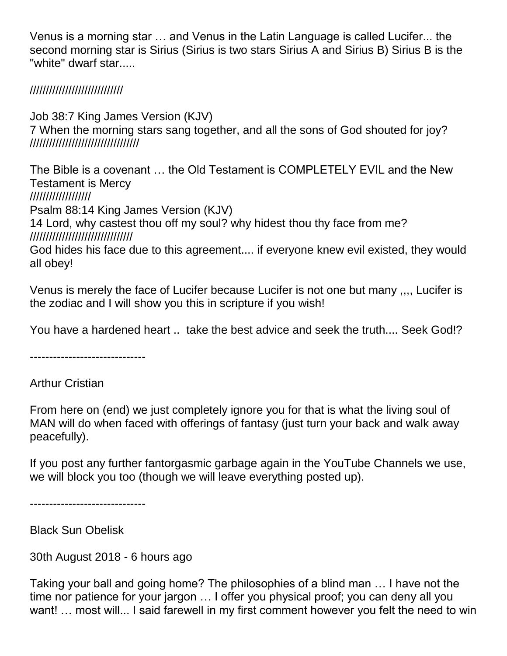Venus is a morning star … and Venus in the Latin Language is called Lucifer... the second morning star is Sirius (Sirius is two stars Sirius A and Sirius B) Sirius B is the "white" dwarf star.....

/////////////////////////////

Job 38:7 King James Version (KJV) 7 When the morning stars sang together, and all the sons of God shouted for joy? //////////////////////////////////

The Bible is a covenant … the Old Testament is COMPLETELY EVIL and the New Testament is Mercy /////////////////// Psalm 88:14 King James Version (KJV) 14 Lord, why castest thou off my soul? why hidest thou thy face from me? ////////////////////////////////

God hides his face due to this agreement.... if everyone knew evil existed, they would all obey!

Venus is merely the face of Lucifer because Lucifer is not one but many ,,,, Lucifer is the zodiac and I will show you this in scripture if you wish!

You have a hardened heart .. take the best advice and seek the truth.... Seek God!?

------------------------------

Arthur Cristian

From here on (end) we just completely ignore you for that is what the living soul of MAN will do when faced with offerings of fantasy (just turn your back and walk away peacefully).

If you post any further fantorgasmic garbage again in the YouTube Channels we use, we will block you too (though we will leave everything posted up).

------------------------------

Black Sun Obelisk

30th August 2018 - 6 hours ago

Taking your ball and going home? The philosophies of a blind man … I have not the time nor patience for your jargon … I offer you physical proof; you can deny all you want! ... most will... I said farewell in my first comment however you felt the need to win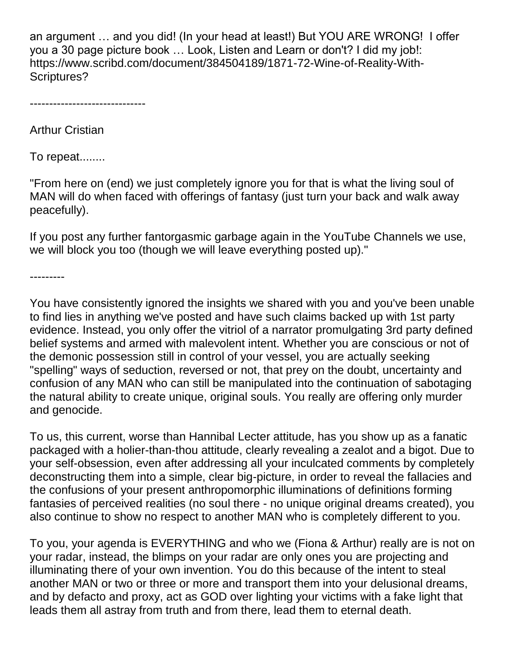an argument … and you did! (In your head at least!) But YOU ARE WRONG! I offer you a 30 page picture book … Look, Listen and Learn or don't? I did my job!: https://www.scribd.com/document/384504189/1871-72-Wine-of-Reality-With-Scriptures?

------------------------------

Arthur Cristian

To repeat........

"From here on (end) we just completely ignore you for that is what the living soul of MAN will do when faced with offerings of fantasy (just turn your back and walk away peacefully).

If you post any further fantorgasmic garbage again in the YouTube Channels we use, we will block you too (though we will leave everything posted up)."

---------

You have consistently ignored the insights we shared with you and you've been unable to find lies in anything we've posted and have such claims backed up with 1st party evidence. Instead, you only offer the vitriol of a narrator promulgating 3rd party defined belief systems and armed with malevolent intent. Whether you are conscious or not of the demonic possession still in control of your vessel, you are actually seeking "spelling" ways of seduction, reversed or not, that prey on the doubt, uncertainty and confusion of any MAN who can still be manipulated into the continuation of sabotaging the natural ability to create unique, original souls. You really are offering only murder and genocide.

To us, this current, worse than Hannibal Lecter attitude, has you show up as a fanatic packaged with a holier-than-thou attitude, clearly revealing a zealot and a bigot. Due to your self-obsession, even after addressing all your inculcated comments by completely deconstructing them into a simple, clear big-picture, in order to reveal the fallacies and the confusions of your present anthropomorphic illuminations of definitions forming fantasies of perceived realities (no soul there - no unique original dreams created), you also continue to show no respect to another MAN who is completely different to you.

To you, your agenda is EVERYTHING and who we (Fiona & Arthur) really are is not on your radar, instead, the blimps on your radar are only ones you are projecting and illuminating there of your own invention. You do this because of the intent to steal another MAN or two or three or more and transport them into your delusional dreams, and by defacto and proxy, act as GOD over lighting your victims with a fake light that leads them all astray from truth and from there, lead them to eternal death.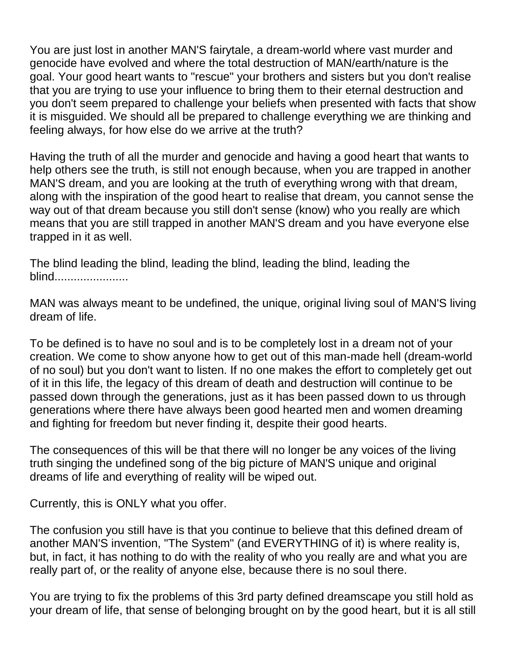You are just lost in another MAN'S fairytale, a dream-world where vast murder and genocide have evolved and where the total destruction of MAN/earth/nature is the goal. Your good heart wants to "rescue" your brothers and sisters but you don't realise that you are trying to use your influence to bring them to their eternal destruction and you don't seem prepared to challenge your beliefs when presented with facts that show it is misguided. We should all be prepared to challenge everything we are thinking and feeling always, for how else do we arrive at the truth?

Having the truth of all the murder and genocide and having a good heart that wants to help others see the truth, is still not enough because, when you are trapped in another MAN'S dream, and you are looking at the truth of everything wrong with that dream, along with the inspiration of the good heart to realise that dream, you cannot sense the way out of that dream because you still don't sense (know) who you really are which means that you are still trapped in another MAN'S dream and you have everyone else trapped in it as well.

The blind leading the blind, leading the blind, leading the blind, leading the blind.......................

MAN was always meant to be undefined, the unique, original living soul of MAN'S living dream of life.

To be defined is to have no soul and is to be completely lost in a dream not of your creation. We come to show anyone how to get out of this man-made hell (dream-world of no soul) but you don't want to listen. If no one makes the effort to completely get out of it in this life, the legacy of this dream of death and destruction will continue to be passed down through the generations, just as it has been passed down to us through generations where there have always been good hearted men and women dreaming and fighting for freedom but never finding it, despite their good hearts.

The consequences of this will be that there will no longer be any voices of the living truth singing the undefined song of the big picture of MAN'S unique and original dreams of life and everything of reality will be wiped out.

Currently, this is ONLY what you offer.

The confusion you still have is that you continue to believe that this defined dream of another MAN'S invention, "The System" (and EVERYTHING of it) is where reality is, but, in fact, it has nothing to do with the reality of who you really are and what you are really part of, or the reality of anyone else, because there is no soul there.

You are trying to fix the problems of this 3rd party defined dreamscape you still hold as your dream of life, that sense of belonging brought on by the good heart, but it is all still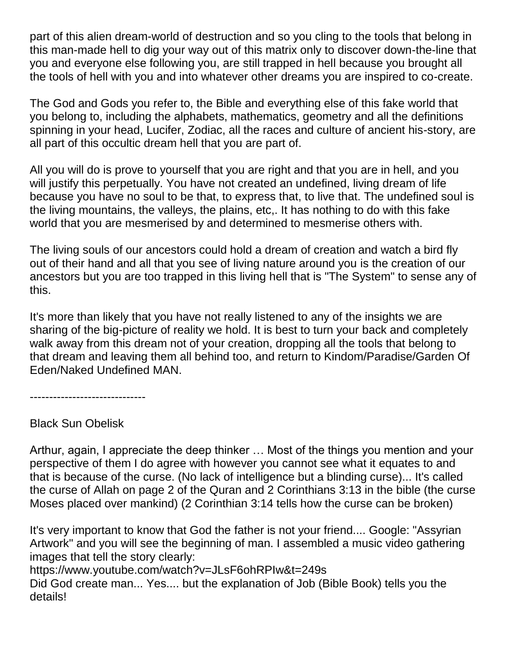part of this alien dream-world of destruction and so you cling to the tools that belong in this man-made hell to dig your way out of this matrix only to discover down-the-line that you and everyone else following you, are still trapped in hell because you brought all the tools of hell with you and into whatever other dreams you are inspired to co-create.

The God and Gods you refer to, the Bible and everything else of this fake world that you belong to, including the alphabets, mathematics, geometry and all the definitions spinning in your head, Lucifer, Zodiac, all the races and culture of ancient his-story, are all part of this occultic dream hell that you are part of.

All you will do is prove to yourself that you are right and that you are in hell, and you will justify this perpetually. You have not created an undefined, living dream of life because you have no soul to be that, to express that, to live that. The undefined soul is the living mountains, the valleys, the plains, etc,. It has nothing to do with this fake world that you are mesmerised by and determined to mesmerise others with.

The living souls of our ancestors could hold a dream of creation and watch a bird fly out of their hand and all that you see of living nature around you is the creation of our ancestors but you are too trapped in this living hell that is "The System" to sense any of this.

It's more than likely that you have not really listened to any of the insights we are sharing of the big-picture of reality we hold. It is best to turn your back and completely walk away from this dream not of your creation, dropping all the tools that belong to that dream and leaving them all behind too, and return to Kindom/Paradise/Garden Of Eden/Naked Undefined MAN.

------------------------------

Black Sun Obelisk

Arthur, again, I appreciate the deep thinker … Most of the things you mention and your perspective of them I do agree with however you cannot see what it equates to and that is because of the curse. (No lack of intelligence but a blinding curse)... It's called the curse of Allah on page 2 of the Quran and 2 Corinthians 3:13 in the bible (the curse Moses placed over mankind) (2 Corinthian 3:14 tells how the curse can be broken)

It's very important to know that God the father is not your friend.... Google: "Assyrian Artwork" and you will see the beginning of man. I assembled a music video gathering images that tell the story clearly:

https://www.youtube.com/watch?v=JLsF6ohRPIw&t=249s

Did God create man... Yes.... but the explanation of Job (Bible Book) tells you the details!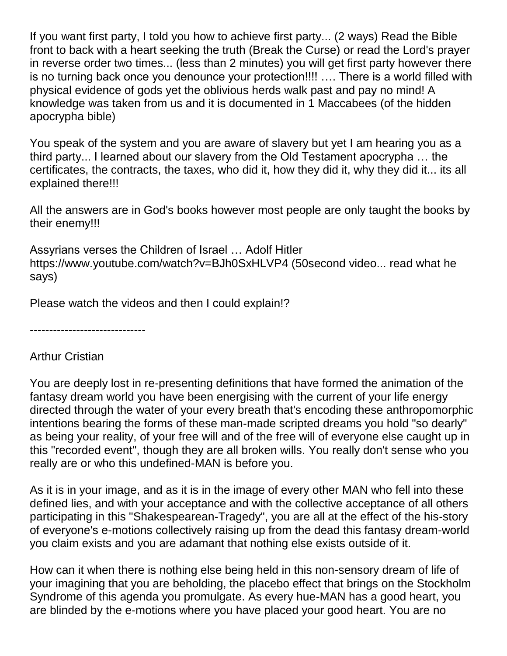If you want first party, I told you how to achieve first party... (2 ways) Read the Bible front to back with a heart seeking the truth (Break the Curse) or read the Lord's prayer in reverse order two times... (less than 2 minutes) you will get first party however there is no turning back once you denounce your protection!!!! …. There is a world filled with physical evidence of gods yet the oblivious herds walk past and pay no mind! A knowledge was taken from us and it is documented in 1 Maccabees (of the hidden apocrypha bible)

You speak of the system and you are aware of slavery but yet I am hearing you as a third party... I learned about our slavery from the Old Testament apocrypha … the certificates, the contracts, the taxes, who did it, how they did it, why they did it... its all explained there!!!

All the answers are in God's books however most people are only taught the books by their enemy!!!

Assyrians verses the Children of Israel … Adolf Hitler https://www.youtube.com/watch?v=BJh0SxHLVP4 (50second video... read what he says)

Please watch the videos and then I could explain!?

------------------------------

Arthur Cristian

You are deeply lost in re-presenting definitions that have formed the animation of the fantasy dream world you have been energising with the current of your life energy directed through the water of your every breath that's encoding these anthropomorphic intentions bearing the forms of these man-made scripted dreams you hold "so dearly" as being your reality, of your free will and of the free will of everyone else caught up in this "recorded event", though they are all broken wills. You really don't sense who you really are or who this undefined-MAN is before you.

As it is in your image, and as it is in the image of every other MAN who fell into these defined lies, and with your acceptance and with the collective acceptance of all others participating in this "Shakespearean-Tragedy", you are all at the effect of the his-story of everyone's e-motions collectively raising up from the dead this fantasy dream-world you claim exists and you are adamant that nothing else exists outside of it.

How can it when there is nothing else being held in this non-sensory dream of life of your imagining that you are beholding, the placebo effect that brings on the Stockholm Syndrome of this agenda you promulgate. As every hue-MAN has a good heart, you are blinded by the e-motions where you have placed your good heart. You are no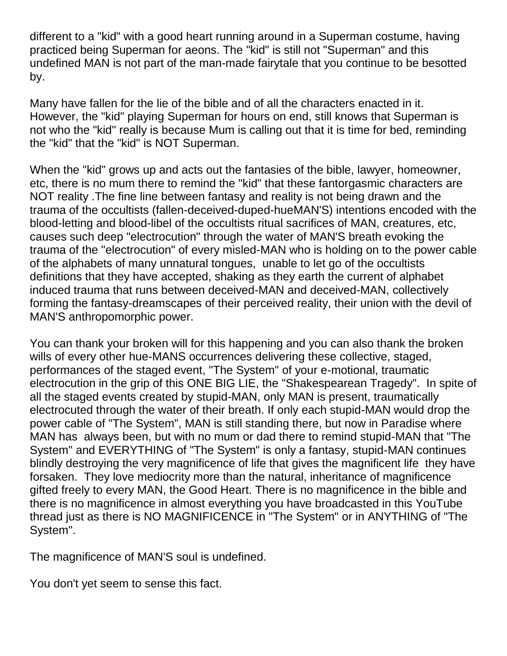different to a "kid" with a good heart running around in a Superman costume, having practiced being Superman for aeons. The "kid" is still not "Superman" and this undefined MAN is not part of the man-made fairytale that you continue to be besotted by.

Many have fallen for the lie of the bible and of all the characters enacted in it. However, the "kid" playing Superman for hours on end, still knows that Superman is not who the "kid" really is because Mum is calling out that it is time for bed, reminding the "kid" that the "kid" is NOT Superman.

When the "kid" grows up and acts out the fantasies of the bible, lawyer, homeowner, etc, there is no mum there to remind the "kid" that these fantorgasmic characters are NOT reality .The fine line between fantasy and reality is not being drawn and the trauma of the occultists (fallen-deceived-duped-hueMAN'S) intentions encoded with the blood-letting and blood-libel of the occultists ritual sacrifices of MAN, creatures, etc, causes such deep "electrocution" through the water of MAN'S breath evoking the trauma of the "electrocution" of every misled-MAN who is holding on to the power cable of the alphabets of many unnatural tongues, unable to let go of the occultists definitions that they have accepted, shaking as they earth the current of alphabet induced trauma that runs between deceived-MAN and deceived-MAN, collectively forming the fantasy-dreamscapes of their perceived reality, their union with the devil of MAN'S anthropomorphic power.

You can thank your broken will for this happening and you can also thank the broken wills of every other hue-MANS occurrences delivering these collective, staged, performances of the staged event, "The System" of your e-motional, traumatic electrocution in the grip of this ONE BIG LIE, the "Shakespearean Tragedy". In spite of all the staged events created by stupid-MAN, only MAN is present, traumatically electrocuted through the water of their breath. If only each stupid-MAN would drop the power cable of "The System", MAN is still standing there, but now in Paradise where MAN has always been, but with no mum or dad there to remind stupid-MAN that "The System" and EVERYTHING of "The System" is only a fantasy, stupid-MAN continues blindly destroying the very magnificence of life that gives the magnificent life they have forsaken. They love mediocrity more than the natural, inheritance of magnificence gifted freely to every MAN, the Good Heart. There is no magnificence in the bible and there is no magnificence in almost everything you have broadcasted in this YouTube thread just as there is NO MAGNIFICENCE in "The System" or in ANYTHING of "The System".

The magnificence of MAN'S soul is undefined.

You don't yet seem to sense this fact.